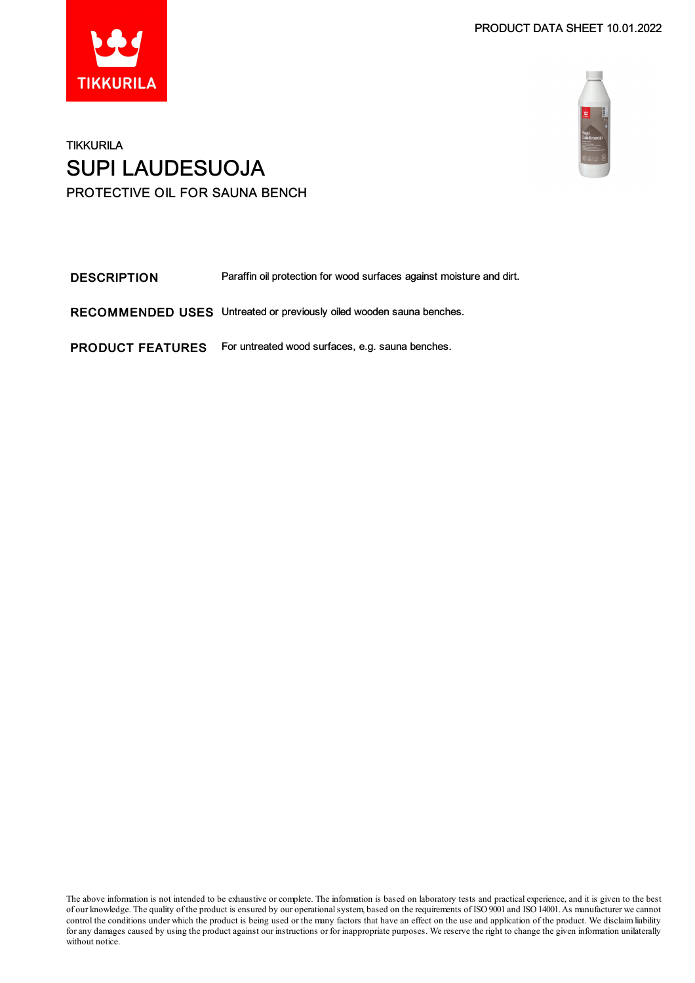



### TIKKURILA SUPI LAUDESUOJA PROTECTIVE OIL FOR SAUNA BENCH

| <b>DESCRIPTION</b>      | Paraffin oil protection for wood surfaces against moisture and dirt. |
|-------------------------|----------------------------------------------------------------------|
|                         | RECOMMENDED USES Untreated or previously oiled wooden sauna benches. |
| <b>PRODUCT FEATURES</b> | For untreated wood surfaces, e.g. sauna benches.                     |

The above information is not intended to be exhaustive or complete. The information is based on laboratory tests and practical experience, and it is given to the best of our knowledge. The quality of the product is ensured by our operationalsystem, based on the requirements of ISO9001 and ISO14001.As manufacturer we cannot control the conditions under which the product is being used or the many factors that have an effect on the use and application of the product. We disclaimliability for any damages caused by using the product against our instructions or for inappropriate purposes. We reserve the right to change the given information unilaterally without notice.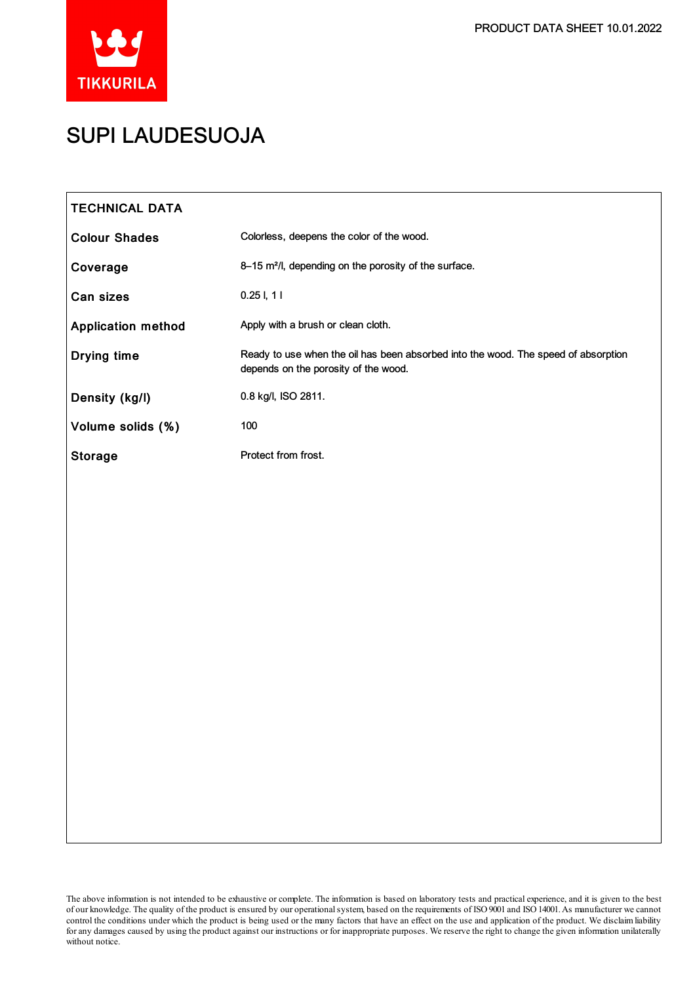

## SUPI LAUDESUOJA

| <b>TECHNICAL DATA</b>     |                                                                                                                            |
|---------------------------|----------------------------------------------------------------------------------------------------------------------------|
| <b>Colour Shades</b>      | Colorless, deepens the color of the wood.                                                                                  |
| Coverage                  | 8-15 m <sup>2</sup> /l, depending on the porosity of the surface.                                                          |
| Can sizes                 | $0.25$ I, 1 I                                                                                                              |
| <b>Application method</b> | Apply with a brush or clean cloth.                                                                                         |
| <b>Drying time</b>        | Ready to use when the oil has been absorbed into the wood. The speed of absorption<br>depends on the porosity of the wood. |
| Density (kg/l)            | 0.8 kg/l, ISO 2811.                                                                                                        |
| Volume solids (%)         | 100                                                                                                                        |
| <b>Storage</b>            | Protect from frost.                                                                                                        |
|                           |                                                                                                                            |
|                           |                                                                                                                            |
|                           |                                                                                                                            |
|                           |                                                                                                                            |
|                           |                                                                                                                            |
|                           |                                                                                                                            |
|                           |                                                                                                                            |
|                           |                                                                                                                            |
|                           |                                                                                                                            |
|                           |                                                                                                                            |
|                           |                                                                                                                            |
|                           |                                                                                                                            |
|                           |                                                                                                                            |

The above information is not intended to be exhaustive or complete. The information is based on laboratory tests and practical experience, and it is given to the best of our knowledge. The quality of the product is ensured by our operationalsystem, based on the requirements of ISO9001 and ISO14001.As manufacturer we cannot control the conditions under which the product is being used or the many factors that have an effect on the use and application of the product. We disclaimliability for any damages caused by using the product against our instructions or for inappropriate purposes. We reserve the right to change the given information unilaterally without notice.